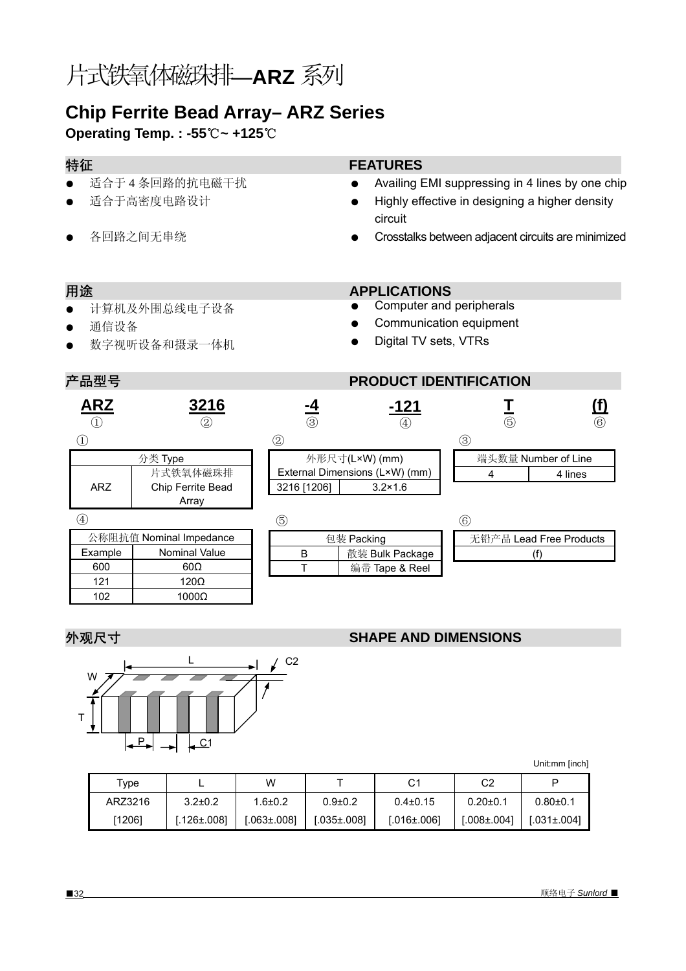# 片式铁氧体磁珠排—**ARZ** 系列

# **Chip Ferrite Bead Array– ARZ Series**

**Operating Temp. : -55**℃**~ +125**℃

- 适合于 4 条回路的抗电磁干扰
- 适合于高密度电路设计
- 各回路之间无串绕

### 特征 **FEATURES**

- Availing EMI suppressing in 4 lines by one chip
- Highly effective in designing a higher density circuit

Computer and peripherals Communication equipment

Digital TV sets, VTRs

Crosstalks between adjacent circuits are minimized

**T**  $\overline{(\overline{5})}$  **(f)** ⑥

### 用途 **APPLICATIONS**

- 计算机及外围总线电子设备
- 通信设备
- 数字视听设备和摄录一体机

600 60Ω 121 120Ω 102 1000Ω

## 产品型号 **PRODUCT IDENTIFICATION**

 $\circled{1}$ 

④

### ② 外形尺寸(L×W) (mm) External Dimensions (L×W) (mm) 3216 [1206] 3.2×1.6 分类 Type ARZ 片式铁氧体磁珠排 Chip Ferrite Bead Array ③ 端头数量 Number of Line 4 4 lines 公称阻抗值 Nominal Impedance Example | Nominal Value ⑥ ⑤ 包装 Packing **ARZ**  $^{\textcircled{\scriptsize{1}}}$ **3216** ② **-4** ③ **-121** ④

| ί5         |                 | 66                      |
|------------|-----------------|-------------------------|
| 包装 Packing |                 | 无铅产品 Lead Free Products |
|            | 散装 Bulk Package |                         |
|            | 编带 Tape & Reel  |                         |
|            |                 |                         |

### **外观尺寸 マンファント SHAPE AND DIMENSIONS**



Unit:mm [inch]

| Type    |               | W           |               | C1                | C2               |                   |
|---------|---------------|-------------|---------------|-------------------|------------------|-------------------|
| ARZ3216 | $3.2 \pm 0.2$ | $1.6 + 0.2$ | $0.9{\pm}0.2$ | $0.4\pm0.15$      | $0.20 \pm 0.1$   | $0.80 + 0.1$      |
| [1206]  | $126\pm.0081$ | I.063±.0081 | [.035±.008]   | $I.016 \pm .0061$ | $1.008 \pm 0041$ | $1.031 \pm 0.041$ |